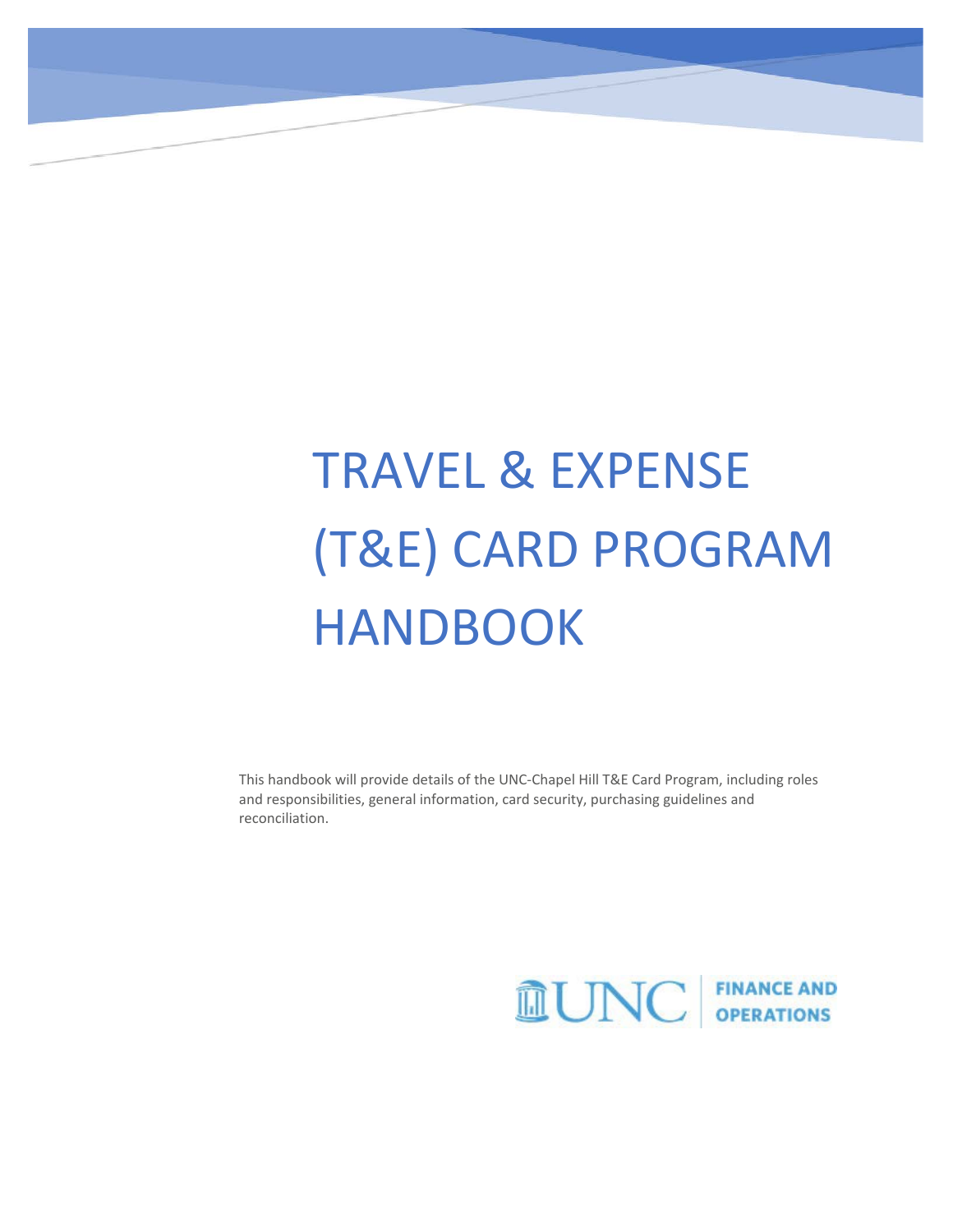# TRAVEL & EXPENSE (T&E) CARD PROGRAM HANDBOOK

This handbook will provide details of the UNC-Chapel Hill T&E Card Program, including roles and responsibilities, general information, card security, purchasing guidelines and reconciliation.

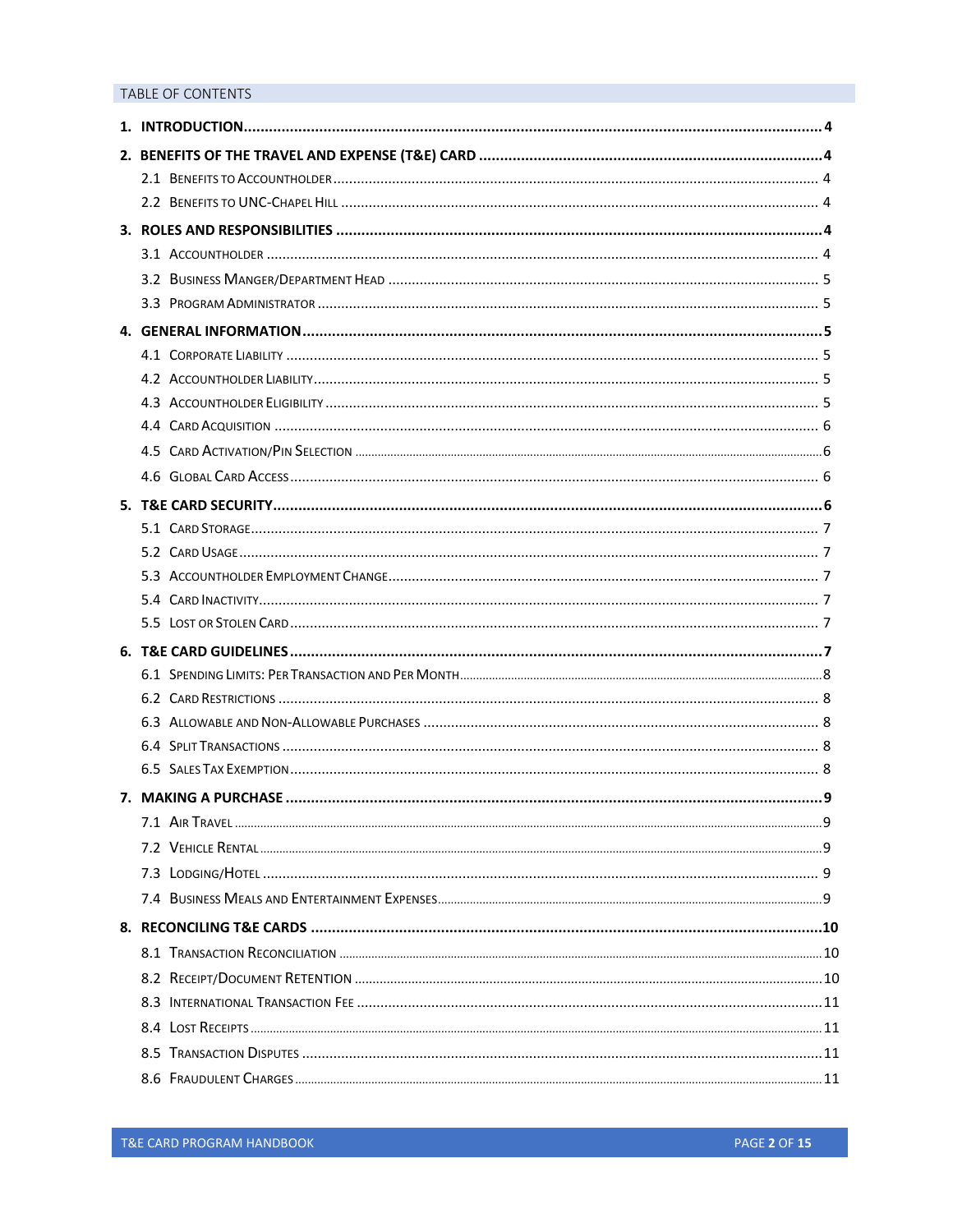## TABLE OF CONTENTS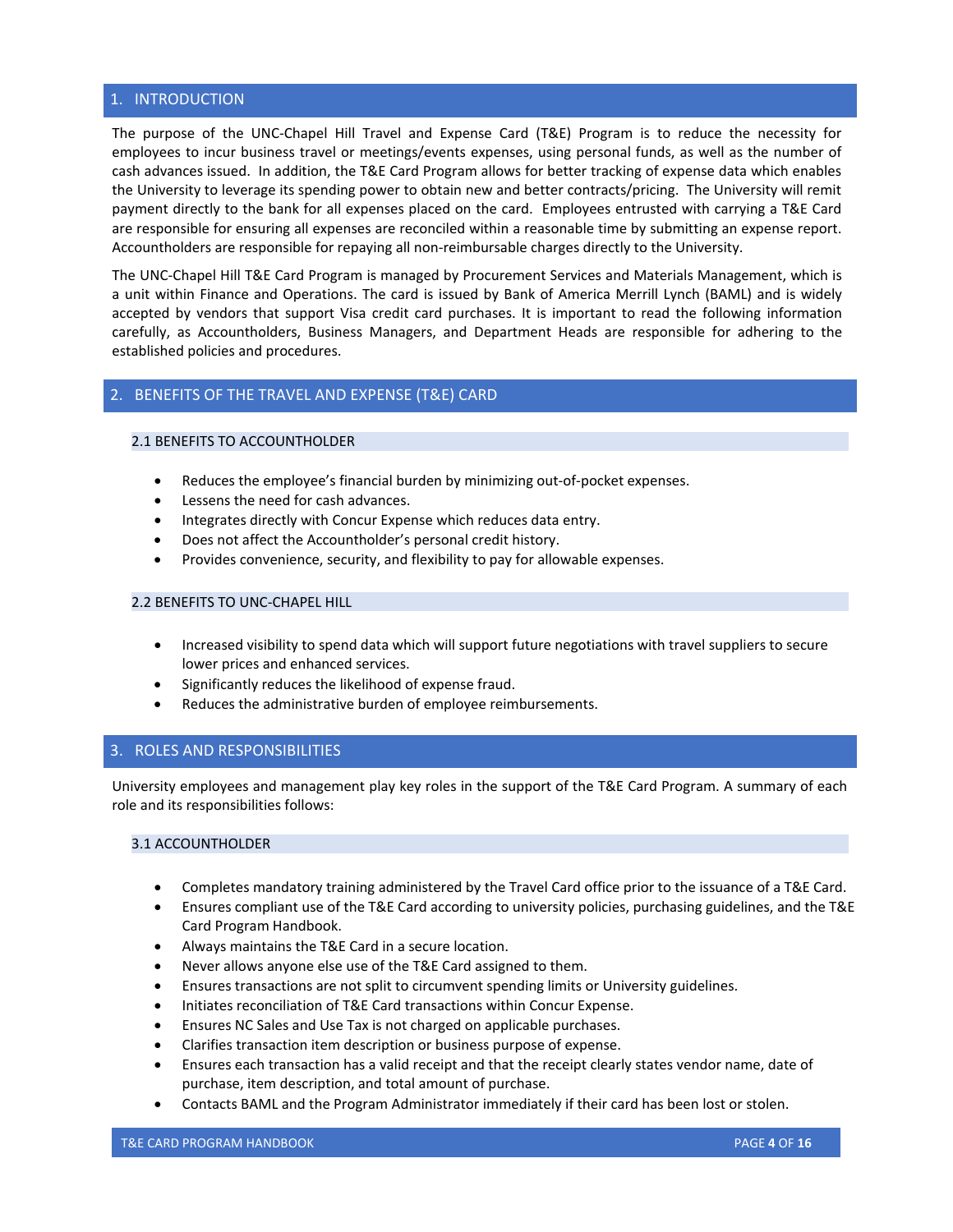## <span id="page-3-0"></span>1. INTRODUCTION

The purpose of the UNC-Chapel Hill Travel and Expense Card (T&E) Program is to reduce the necessity for employees to incur business travel or meetings/events expenses, using personal funds, as well as the number of cash advances issued. In addition, the T&E Card Program allows for better tracking of expense data which enables the University to leverage its spending power to obtain new and better contracts/pricing. The University will remit payment directly to the bank for all expenses placed on the card. Employees entrusted with carrying a T&E Card are responsible for ensuring all expenses are reconciled within a reasonable time by submitting an expense report. Accountholders are responsible for repaying all non-reimbursable charges directly to the University.

The UNC-Chapel Hill T&E Card Program is managed by Procurement Services and Materials Management, which is a unit within Finance and Operations. The card is issued by Bank of America Merrill Lynch (BAML) and is widely accepted by vendors that support Visa credit card purchases. It is important to read the following information carefully, as Accountholders, Business Managers, and Department Heads are responsible for adhering to the established policies and procedures.

## <span id="page-3-1"></span>2. BENEFITS OF THE TRAVEL AND EXPENSE (T&E) CARD

## <span id="page-3-2"></span>2.1 BENEFITS TO ACCOUNTHOLDER

- Reduces the employee's financial burden by minimizing out-of-pocket expenses.
- Lessens the need for cash advances.
- Integrates directly with Concur Expense which reduces data entry.
- Does not affect the Accountholder's personal credit history.
- Provides convenience, security, and flexibility to pay for allowable expenses.

## <span id="page-3-3"></span>2.2 BENEFITS TO UNC-CHAPEL HILL

- Increased visibility to spend data which will support future negotiations with travel suppliers to secure lower prices and enhanced services.
- Significantly reduces the likelihood of expense fraud.
- Reduces the administrative burden of employee reimbursements.

## <span id="page-3-4"></span>3. ROLES AND RESPONSIBILITIES

University employees and management play key roles in the support of the T&E Card Program. A summary of each role and its responsibilities follows:

## <span id="page-3-5"></span>3.1 ACCOUNTHOLDER

- Completes mandatory training administered by the Travel Card office prior to the issuance of a T&E Card.
- Ensures compliant use of the T&E Card according to university policies, purchasing guidelines, and the T&E Card Program Handbook.
- Always maintains the T&E Card in a secure location.
- Never allows anyone else use of the T&E Card assigned to them.
- Ensures transactions are not split to circumvent spending limits or University guidelines.
- Initiates reconciliation of T&E Card transactions within Concur Expense.
- Ensures NC Sales and Use Tax is not charged on applicable purchases.
- Clarifies transaction item description or business purpose of expense.
- Ensures each transaction has a valid receipt and that the receipt clearly states vendor name, date of purchase, item description, and total amount of purchase.
- Contacts BAML and the Program Administrator immediately if their card has been lost or stolen.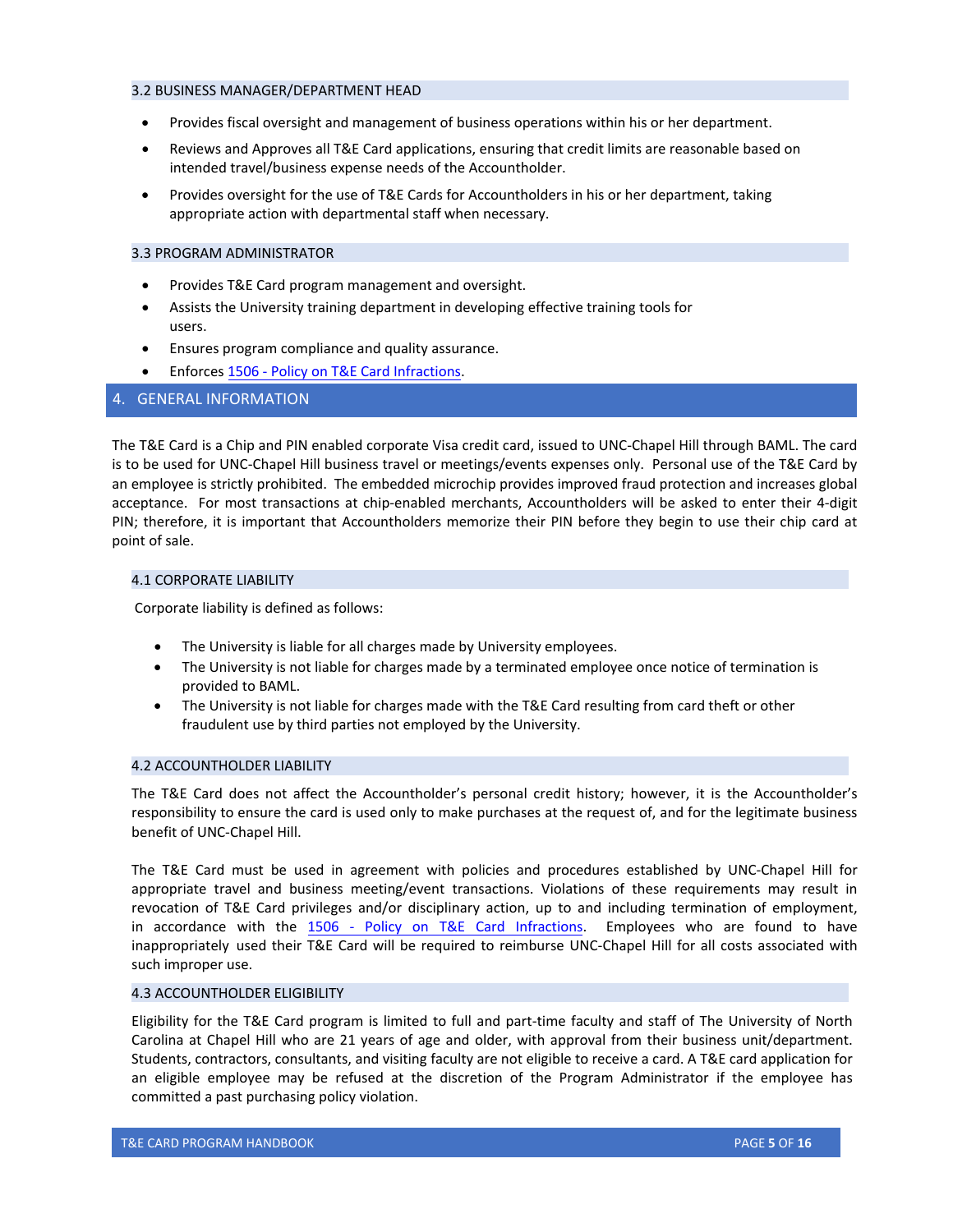#### <span id="page-4-0"></span>3.2 BUSINESS MANAGER/DEPARTMENT HEAD

- Provides fiscal oversight and management of business operations within his or her department.
- Reviews and Approves all T&E Card applications, ensuring that credit limits are reasonable based on intended travel/business expense needs of the Accountholder.
- Provides oversight for the use of T&E Cards for Accountholders in his or her department, taking appropriate action with departmental staff when necessary.

#### <span id="page-4-1"></span>3.3 PROGRAM ADMINISTRATOR

- Provides T&E Card program management and oversight.
- Assists the University training department in developing effective training tools for users.
- Ensures program compliance and quality assurance.
- <span id="page-4-2"></span>• Enforces 1506 - Policy on T&E Card Infractions.

## 4. GENERAL INFORMATION

The T&E Card is a Chip and PIN enabled corporate Visa credit card, issued to UNC-Chapel Hill through BAML. The card is to be used for UNC-Chapel Hill business travel or meetings/events expenses only. Personal use of the T&E Card by an employee is strictly prohibited. The embedded microchip provides improved fraud protection and increases global acceptance. For most transactions at chip-enabled merchants, Accountholders will be asked to enter their 4-digit PIN; therefore, it is important that Accountholders memorize their PIN before they begin to use their chip card at point of sale.

## <span id="page-4-3"></span>4.1 CORPORATE LIABILITY

Corporate liability is defined as follows:

- The University is liable for all charges made by University employees.
- The University is not liable for charges made by a terminated employee once notice of termination is provided to BAML.
- The University is not liable for charges made with the T&E Card resulting from card theft or other fraudulent use by third parties not employed by the University.

## <span id="page-4-4"></span>4.2 ACCOUNTHOLDER LIABILITY

The T&E Card does not affect the Accountholder's personal credit history; however, it is the Accountholder's responsibility to ensure the card is used only to make purchases at the request of, and for the legitimate business benefit of UNC-Chapel Hill.

The T&E Card must be used in agreement with policies and procedures established by UNC-Chapel Hill for appropriate travel and business meeting/event transactions. Violations of these requirements may result in revocation of T&E Card privileges and/or disciplinary action, up to and including termination of employment, in accordance with the 1506 - Policy on T&E Card [Infractions.](https://policies.unc.edu/TDClient/2833/Portal/KB/ArticleDet?ID=132763) Employees who are found to have inappropriately used their T&E Card will be required to reimburse UNC-Chapel Hill for all costs associated with such improper use.

## <span id="page-4-5"></span>4.3 ACCOUNTHOLDER ELIGIBILITY

Eligibility for the T&E Card program is limited to full and part-time faculty and staff of The University of North Carolina at Chapel Hill who are 21 years of age and older, with approval from their business unit/department. Students, contractors, consultants, and visiting faculty are not eligible to receive a card. A T&E card application for an eligible employee may be refused at the discretion of the Program Administrator if the employee has committed a past purchasing policy violation.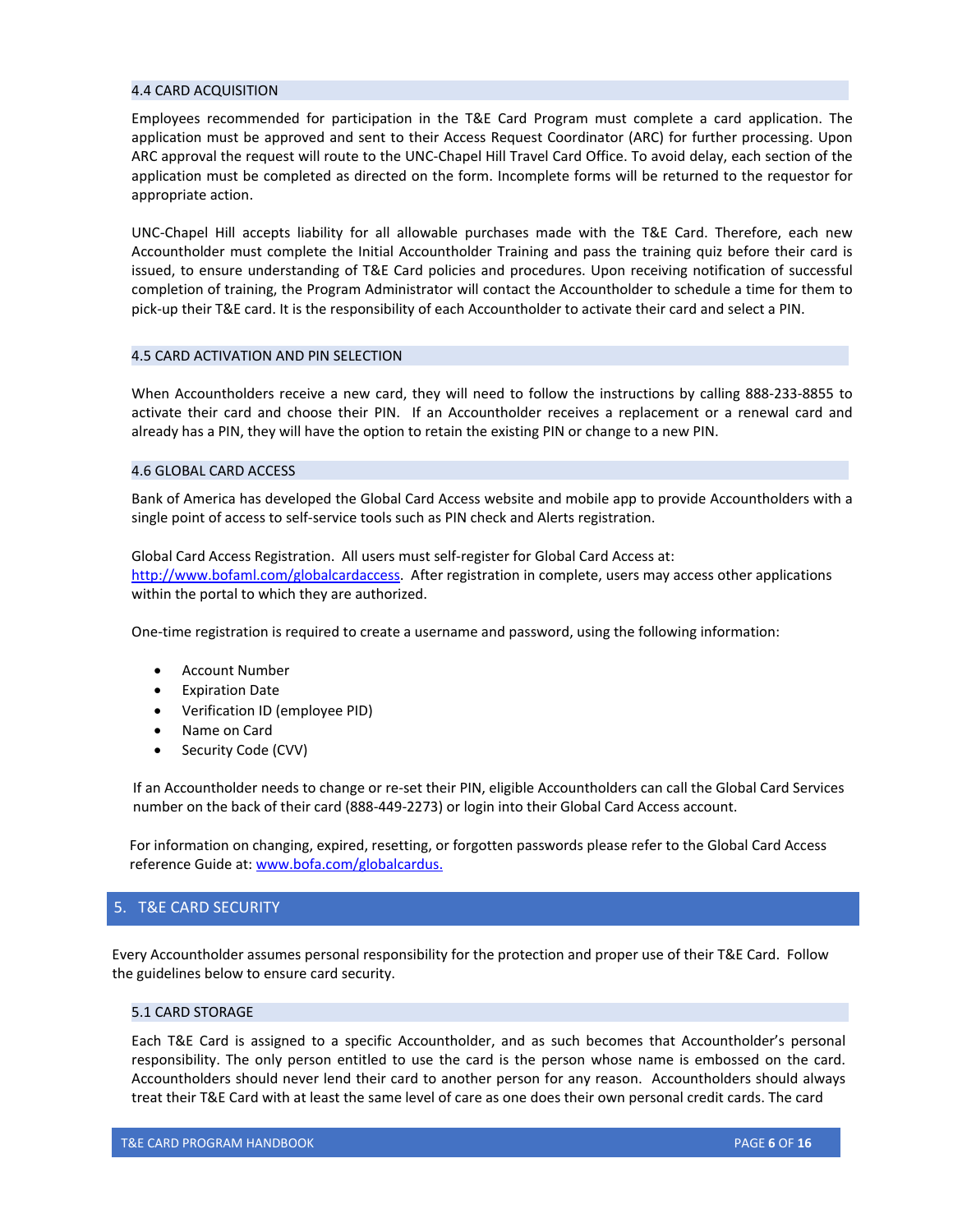#### <span id="page-5-0"></span>4.4 CARD ACQUISITION

Employees recommended for participation in the T&E Card Program must complete a card application. The application must be approved and sent to their Access Request Coordinator (ARC) for further processing. Upon ARC approval the request will route to the UNC-Chapel Hill Travel Card Office. To avoid delay, each section of the application must be completed as directed on the form. Incomplete forms will be returned to the requestor for appropriate action.

UNC-Chapel Hill accepts liability for all allowable purchases made with the T&E Card. Therefore, each new Accountholder must complete the Initial Accountholder Training and pass the training quiz before their card is issued, to ensure understanding of T&E Card policies and procedures. Upon receiving notification of successful completion of training, the Program Administrator will contact the Accountholder to schedule a time for them to pick-up their T&E card. It is the responsibility of each Accountholder to activate their card and select a PIN.

## <span id="page-5-1"></span>4.5 CARD ACTIVATION AND PIN SELECTION

When Accountholders receive a new card, they will need to follow the instructions by calling 888-233-8855 to activate their card and choose their PIN. If an Accountholder receives a replacement or a renewal card and already has a PIN, they will have the option to retain the existing PIN or change to a new PIN.

## <span id="page-5-2"></span>4.6 GLOBAL CARD ACCESS

Bank of America has developed the Global Card Access website and mobile app to provide Accountholders with a single point of access to self-service tools such as PIN check and Alerts registration.

Global Card Access Registration. All users must self-register for Global Card Access at: [http://www.bofaml.com/globalcardaccess.](http://www.bofaml.com/globalcardaccess) After registration in complete, users may access other applications within the portal to which they are authorized.

One-time registration is required to create a username and password, using the following information:

- Account Number
- **Expiration Date**
- Verification ID (employee PID)
- Name on Card
- Security Code (CVV)

If an Accountholder needs to change or re-set their PIN, eligible Accountholders can call the Global Card Services number on the back of their card (888-449-2273) or login into their Global Card Access account.

 For information on changing, expired, resetting, or forgotten passwords please refer to the Global Card Access reference Guide at[: www.bofa.com/globalcardus.](http://www.bofa.com/globalcardus)

## <span id="page-5-3"></span>5. T&E CARD SECURITY

 Every Accountholder assumes personal responsibility for the protection and proper use of their T&E Card. Follow the guidelines below to ensure card security.

## <span id="page-5-4"></span>5.1 CARD STORAGE

Each T&E Card is assigned to a specific Accountholder, and as such becomes that Accountholder's personal responsibility. The only person entitled to use the card is the person whose name is embossed on the card. Accountholders should never lend their card to another person for any reason. Accountholders should always treat their T&E Card with at least the same level of care as one does their own personal credit cards. The card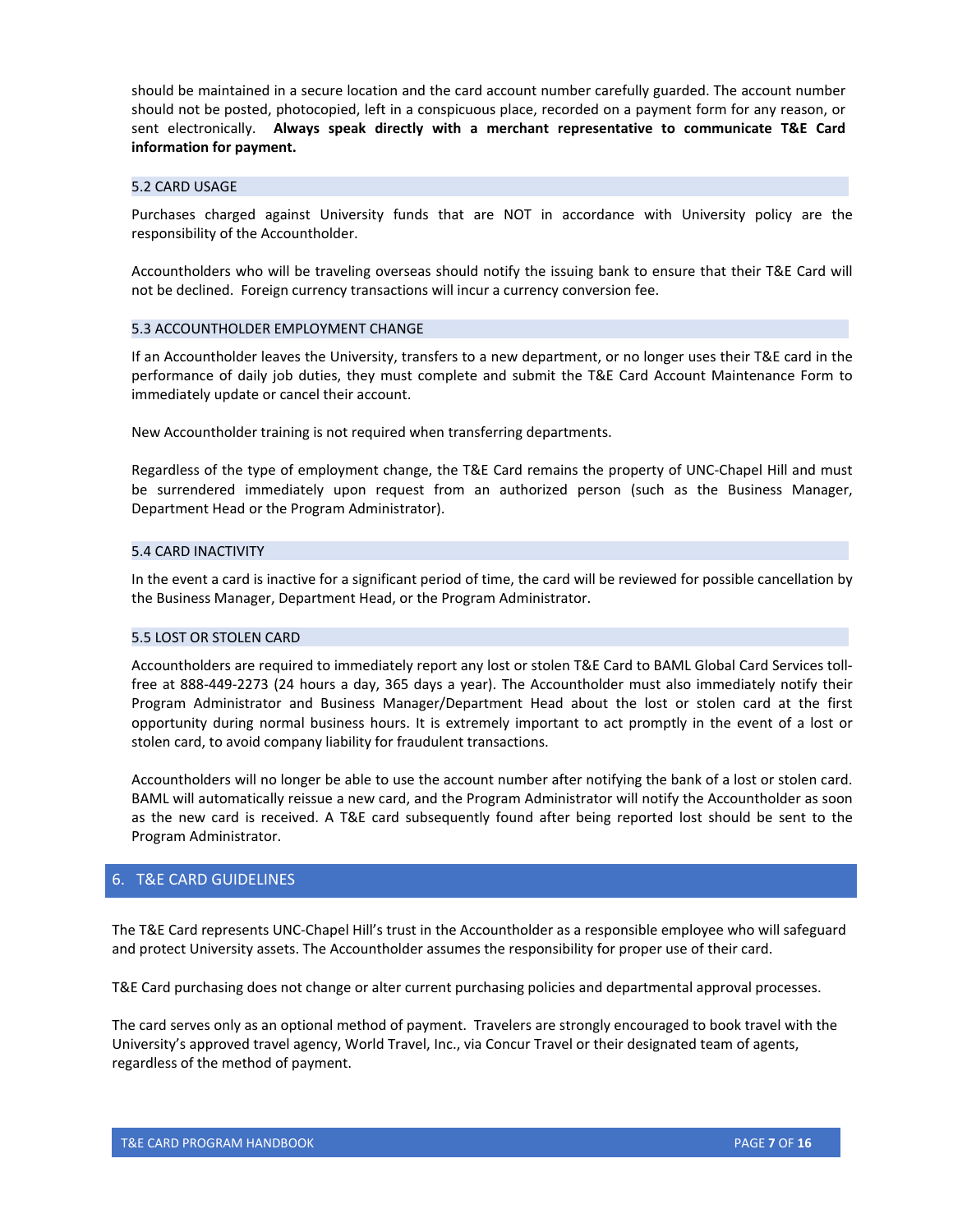should be maintained in a secure location and the card account number carefully guarded. The account number should not be posted, photocopied, left in a conspicuous place, recorded on a payment form for any reason, or sent electronically. **Always speak directly with a merchant representative to communicate T&E Card information for payment.**

#### <span id="page-6-0"></span>5.2 CARD USAGE

Purchases charged against University funds that are NOT in accordance with University policy are the responsibility of the Accountholder.

Accountholders who will be traveling overseas should notify the issuing bank to ensure that their T&E Card will not be declined. Foreign currency transactions will incur a currency conversion fee.

#### <span id="page-6-1"></span>5.3 ACCOUNTHOLDER EMPLOYMENT CHANGE

If an Accountholder leaves the University, transfers to a new department, or no longer uses their T&E card in the performance of daily job duties, they must complete and submit the T&E Card Account Maintenance Form to immediately update or cancel their account.

New Accountholder training is not required when transferring departments.

Regardless of the type of employment change, the T&E Card remains the property of UNC-Chapel Hill and must be surrendered immediately upon request from an authorized person (such as the Business Manager, Department Head or the Program Administrator).

#### <span id="page-6-2"></span>5.4 CARD INACTIVITY

In the event a card is inactive for a significant period of time, the card will be reviewed for possible cancellation by the Business Manager, Department Head, or the Program Administrator.

#### <span id="page-6-3"></span>5.5 LOST OR STOLEN CARD

Accountholders are required to immediately report any lost or stolen T&E Card to BAML Global Card Services tollfree at 888-449-2273 (24 hours a day, 365 days a year). The Accountholder must also immediately notify their Program Administrator and Business Manager/Department Head about the lost or stolen card at the first opportunity during normal business hours. It is extremely important to act promptly in the event of a lost or stolen card, to avoid company liability for fraudulent transactions.

Accountholders will no longer be able to use the account number after notifying the bank of a lost or stolen card. BAML will automatically reissue a new card, and the Program Administrator will notify the Accountholder as soon as the new card is received. A T&E card subsequently found after being reported lost should be sent to the Program Administrator.

## <span id="page-6-4"></span>6. T&E CARD GUIDELINES

The T&E Card represents UNC-Chapel Hill's trust in the Accountholder as a responsible employee who will safeguard and protect University assets. The Accountholder assumes the responsibility for proper use of their card.

T&E Card purchasing does not change or alter current purchasing policies and departmental approval processes.

The card serves only as an optional method of payment. Travelers are strongly encouraged to book travel with the University's approved travel agency, World Travel, Inc., via Concur Travel or their designated team of agents, regardless of the method of payment.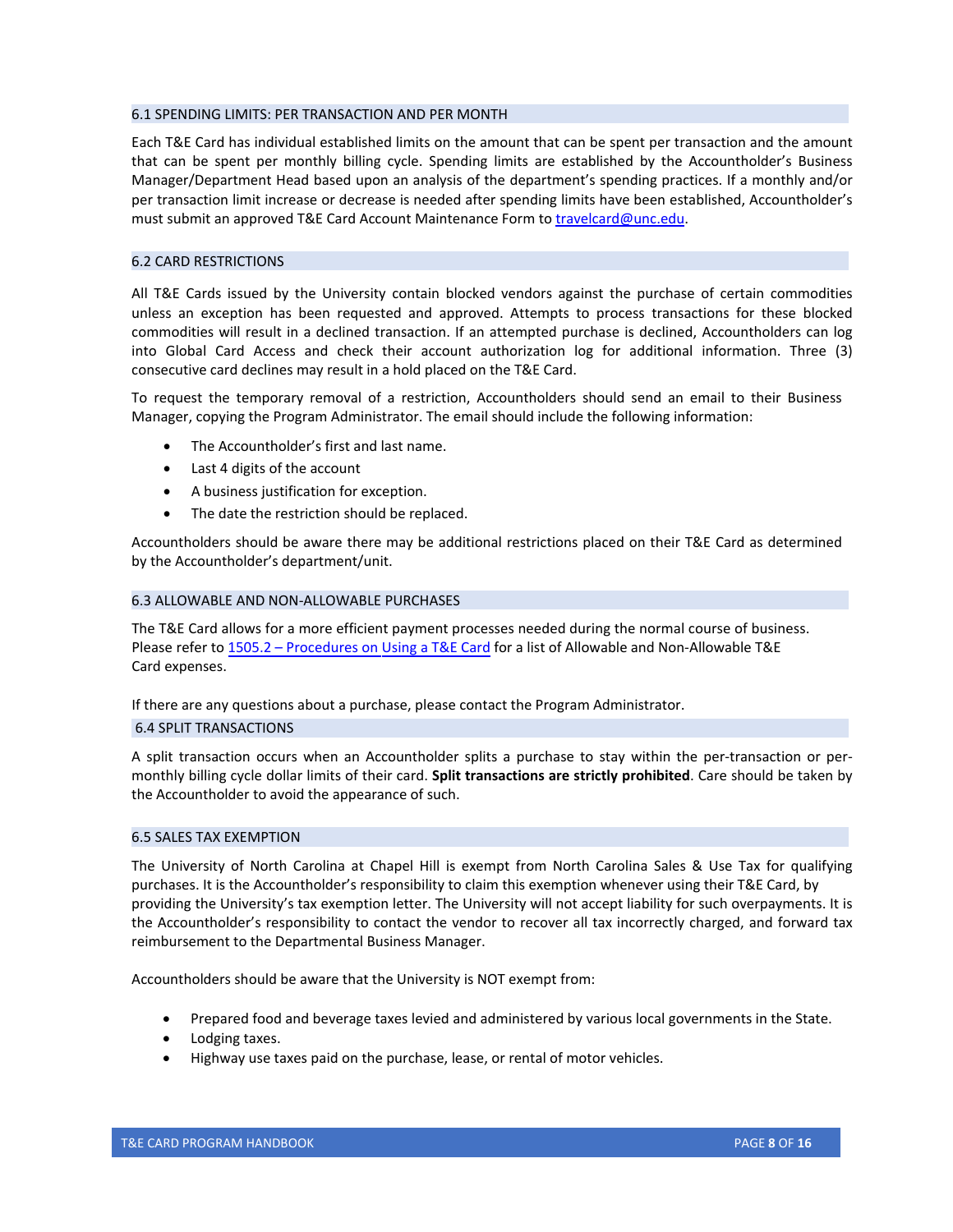#### <span id="page-7-0"></span>6.1 SPENDING LIMITS: PER TRANSACTION AND PER MONTH

Each T&E Card has individual established limits on the amount that can be spent per transaction and the amount that can be spent per monthly billing cycle. Spending limits are established by the Accountholder's Business Manager/Department Head based upon an analysis of the department's spending practices. If a monthly and/or per transaction limit increase or decrease is needed after spending limits have been established, Accountholder's must submit an approved T&E Card Account Maintenance Form to [travelcard@unc.edu.](mailto:travelcard@unc.edu)

## <span id="page-7-1"></span>6.2 CARD RESTRICTIONS

All T&E Cards issued by the University contain blocked vendors against the purchase of certain commodities unless an exception has been requested and approved. Attempts to process transactions for these blocked commodities will result in a declined transaction. If an attempted purchase is declined, Accountholders can log into Global Card Access and check their account authorization log for additional information. Three (3) consecutive card declines may result in a hold placed on the T&E Card.

To request the temporary removal of a restriction, Accountholders should send an email to their Business Manager, copying the Program Administrator. The email should include the following information:

- The Accountholder's first and last name.
- Last 4 digits of the account
- A business justification for exception.
- The date the restriction should be replaced.

Accountholders should be aware there may be additional restrictions placed on their T&E Card as determined by the Accountholder's department/unit.

## <span id="page-7-2"></span>6.3 ALLOWABLE AND NON-ALLOWABLE PURCHASES

The T&E Card allows for a more efficient payment processes needed during the normal course of business. Please refer to 1505.2 [– Procedures](https://policies.unc.edu/TDClient/2833/Portal/KB/ArticleDet?ID=132760) on Using a T&E Card for a list of Allowable and Non-Allowable T&E Card expenses.

If there are any questions about a purchase, please contact the Program Administrator.

## <span id="page-7-3"></span>6.4 SPLIT TRANSACTIONS

A split transaction occurs when an Accountholder splits a purchase to stay within the per-transaction or permonthly billing cycle dollar limits of their card. **Split transactions are strictly prohibited**. Care should be taken by the Accountholder to avoid the appearance of such.

## <span id="page-7-4"></span>6.5 SALES TAX EXEMPTION

The University of North Carolina at Chapel Hill is exempt from North Carolina Sales & Use Tax for qualifying purchases. It is the Accountholder's responsibility to claim this exemption whenever using their T&E Card, by providing the University's tax exemption letter. The University will not accept liability for such overpayments. It is the Accountholder's responsibility to contact the vendor to recover all tax incorrectly charged, and forward tax reimbursement to the Departmental Business Manager.

Accountholders should be aware that the University is NOT exempt from:

- Prepared food and beverage taxes levied and administered by various local governments in the State.
- Lodging taxes.
- Highway use taxes paid on the purchase, lease, or rental of motor vehicles.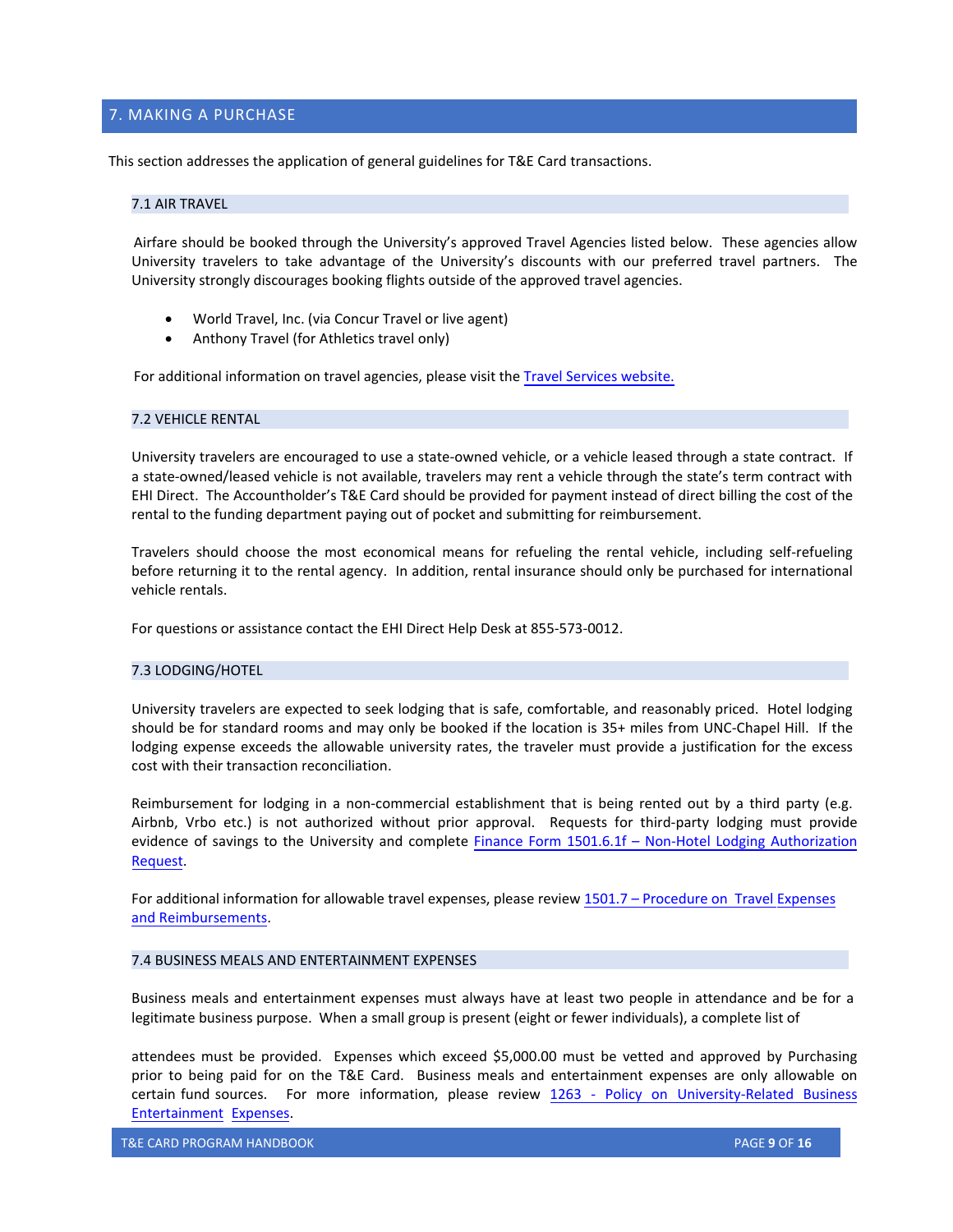## <span id="page-8-0"></span>7. MAKING A PURCHASE

This section addresses the application of general guidelines for T&E Card transactions.

## <span id="page-8-1"></span>7.1 AIR TRAVEL

Airfare should be booked through the University's approved Travel Agencies listed below. These agencies allow University travelers to take advantage of the University's discounts with our preferred travel partners. The University strongly discourages booking flights outside of the approved travel agencies.

- World Travel, Inc. (via Concur Travel or live agent)
- Anthony Travel (for Athletics travel only)

For additional information on travel agencies, please visit the [Travel Services website.](https://finance.unc.edu/services/travel/book-travel/travel-agencies/)

## <span id="page-8-2"></span>7.2 VEHICLE RENTAL

University travelers are encouraged to use a state-owned vehicle, or a vehicle leased through a state contract. If a state-owned/leased vehicle is not available, travelers may rent a vehicle through the state's term contract with EHI Direct. The Accountholder's T&E Card should be provided for payment instead of direct billing the cost of the rental to the funding department paying out of pocket and submitting for reimbursement.

Travelers should choose the most economical means for refueling the rental vehicle, including self-refueling before returning it to the rental agency. In addition, rental insurance should only be purchased for international vehicle rentals.

For questions or assistance contact the EHI Direct Help Desk at 855-573-0012.

## <span id="page-8-3"></span>7.3 LODGING/HOTEL

University travelers are expected to seek lodging that is safe, comfortable, and reasonably priced. Hotel lodging should be for standard rooms and may only be booked if the location is 35+ miles from UNC-Chapel Hill. If the lodging expense exceeds the allowable university rates, the traveler must provide a justification for the excess cost with their transaction reconciliation.

Reimbursement for lodging in a non-commercial establishment that is being rented out by a third party (e.g. Airbnb, Vrbo etc.) is not authorized without prior approval. Requests for third-party lodging must provide evidence of savings to the University and complete Finance Form 1501.6.1f [– Non-Hotel Lodging Authorization](https://finance.unc.edu/forms/1501-6-1f/)  [Request.](https://finance.unc.edu/forms/1501-6-1f/)

<span id="page-8-4"></span>For additional information for allowable travel expenses, please review 1501.7 – Procedure [on Travel Expenses](https://policies.unc.edu/TDClient/2833/Portal/KB/ArticleDet?ID=131469) [and Reimbursements](https://policies.unc.edu/TDClient/2833/Portal/KB/ArticleDet?ID=131469).

## 7.4 BUSINESS MEALS AND ENTERTAINMENT EXPENSES

Business meals and entertainment expenses must always have at least two people in attendance and be for a legitimate business purpose. When a small group is present (eight or fewer individuals), a complete list of

attendees must be provided. Expenses which exceed \$5,000.00 must be vetted and approved by Purchasing prior to being paid for on the T&E Card. Business meals and entertainment expenses are only allowable on certain fund sources. For more information, please review 1263 [- Policy on University-Related Business](https://policies.unc.edu/TDClient/2833/Portal/KB/ArticleDet?ID=131446)  [Entertainm](https://policies.unc.edu/TDClient/2833/Portal/KB/ArticleDet?ID=131446)ent Expenses.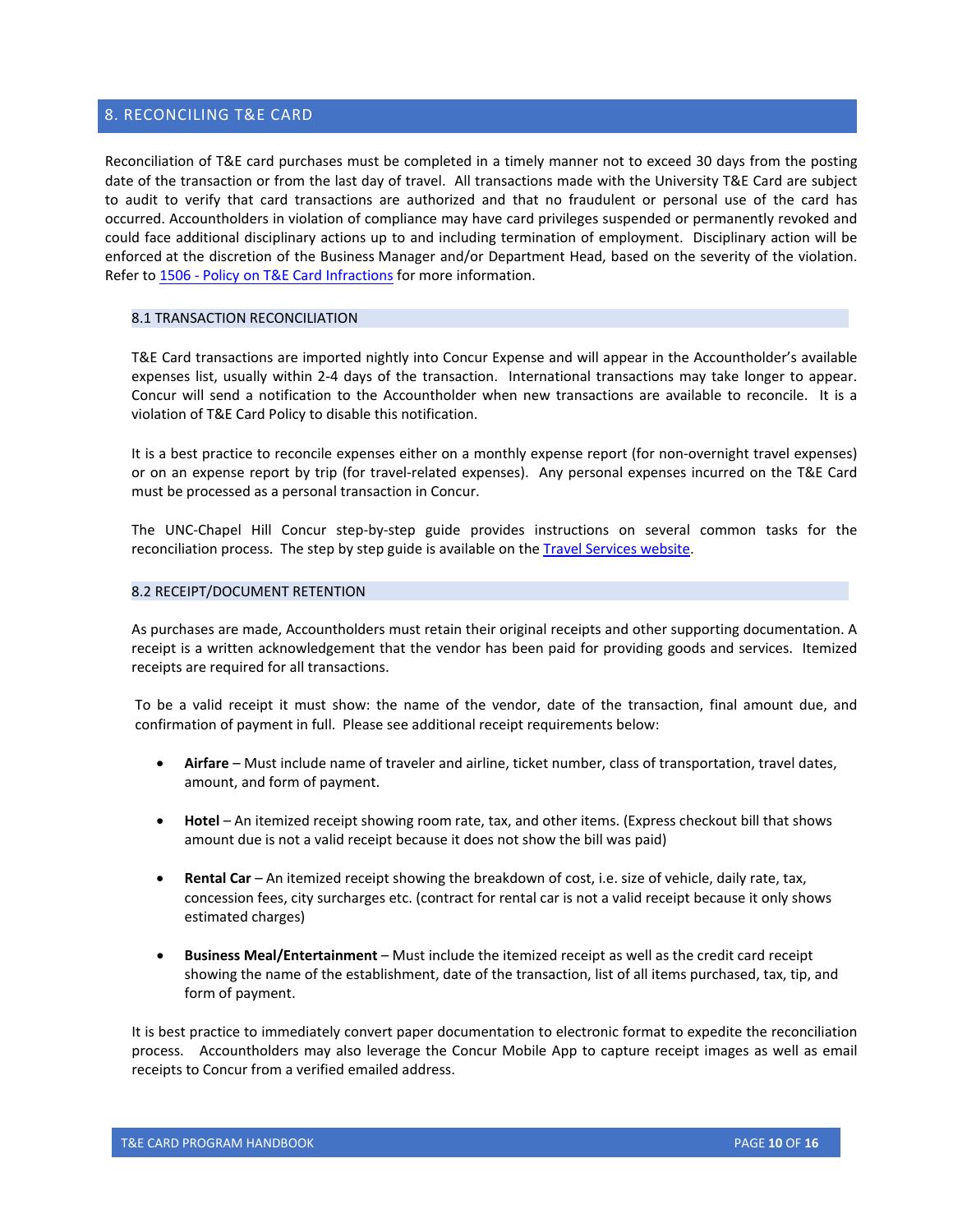## <span id="page-9-0"></span>8. RECONCILING T&E CARD

Reconciliation of T&E card purchases must be completed in a timely manner not to exceed 30 days from the posting date of the transaction or from the last day of travel. All transactions made with the University T&E Card are subject to audit to verify that card transactions are authorized and that no fraudulent or personal use of the card has occurred. Accountholders in violation of compliance may have card privileges suspended or permanently revoked and could face additional disciplinary actions up to and including termination of employment. Disciplinary action will be enforced at the discretion of the Business Manager and/or Department Head, based on the severity of the violation. Refer to [1506 - Policy on T&E Card Infractions](https://policies.unc.edu/TDClient/2833/Portal/KB/ArticleDet?ID=132763) for more information.

## <span id="page-9-1"></span>8.1 TRANSACTION RECONCILIATION

T&E Card transactions are imported nightly into Concur Expense and will appear in the Accountholder's available expenses list, usually within 2-4 days of the transaction. International transactions may take longer to appear. Concur will send a notification to the Accountholder when new transactions are available to reconcile. It is a violation of T&E Card Policy to disable this notification.

It is a best practice to reconcile expenses either on a monthly expense report (for non-overnight travel expenses) or on an expense report by trip (for travel-related expenses). Any personal expenses incurred on the T&E Card must be processed as a personal transaction in Concur.

The UNC-Chapel Hill Concur step-by-step guide provides instructions on several common tasks for the reconciliation process. The step by step guide is available on the [Travel Services website.](https://finance.unc.edu/services/travel/concur/)

#### <span id="page-9-2"></span>8.2 RECEIPT/DOCUMENT RETENTION

As purchases are made, Accountholders must retain their original receipts and other supporting documentation. A receipt is a written acknowledgement that the vendor has been paid for providing goods and services. Itemized receipts are required for all transactions.

To be a valid receipt it must show: the name of the vendor, date of the transaction, final amount due, and confirmation of payment in full. Please see additional receipt requirements below:

- Airfare Must include name of traveler and airline, ticket number, class of transportation, travel dates, amount, and form of payment.
- **Hotel** An itemized receipt showing room rate, tax, and other items. (Express checkout bill that shows amount due is not a valid receipt because it does not show the bill was paid)
- **Rental Car** An itemized receipt showing the breakdown of cost, i.e. size of vehicle, daily rate, tax, concession fees, city surcharges etc. (contract for rental car is not a valid receipt because it only shows estimated charges)
- **Business Meal/Entertainment**  Must include the itemized receipt as well as the credit card receipt showing the name of the establishment, date of the transaction, list of all items purchased, tax, tip, and form of payment.

It is best practice to immediately convert paper documentation to electronic format to expedite the reconciliation process. Accountholders may also leverage the Concur Mobile App to capture receipt images as well as email receipts to Concur from a verified emailed address.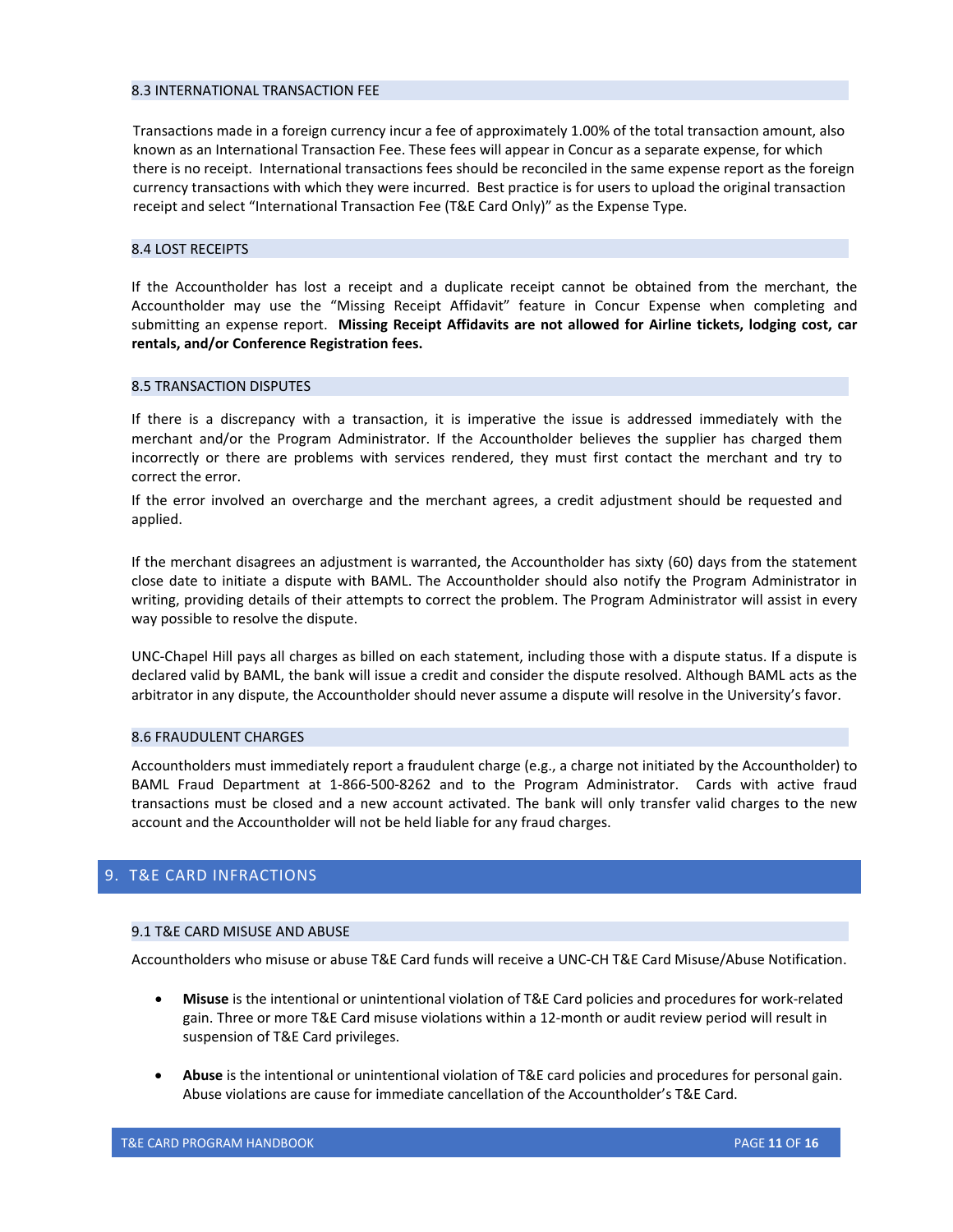#### <span id="page-10-0"></span>8.3 INTERNATIONAL TRANSACTION FEE

Transactions made in a foreign currency incur a fee of approximately 1.00% of the total transaction amount, also known as an International Transaction Fee. These fees will appear in Concur as a separate expense, for which there is no receipt. International transactions fees should be reconciled in the same expense report as the foreign currency transactions with which they were incurred. Best practice is for users to upload the original transaction receipt and select "International Transaction Fee (T&E Card Only)" as the Expense Type.

## <span id="page-10-1"></span>8.4 LOST RECEIPTS

If the Accountholder has lost a receipt and a duplicate receipt cannot be obtained from the merchant, the Accountholder may use the "Missing Receipt Affidavit" feature in Concur Expense when completing and submitting an expense report. **Missing Receipt Affidavits are not allowed for Airline tickets, lodging cost, car rentals, and/or Conference Registration fees.**

## <span id="page-10-2"></span>8.5 TRANSACTION DISPUTES

If there is a discrepancy with a transaction, it is imperative the issue is addressed immediately with the merchant and/or the Program Administrator. If the Accountholder believes the supplier has charged them incorrectly or there are problems with services rendered, they must first contact the merchant and try to correct the error.

If the error involved an overcharge and the merchant agrees, a credit adjustment should be requested and applied.

If the merchant disagrees an adjustment is warranted, the Accountholder has sixty (60) days from the statement close date to initiate a dispute with BAML. The Accountholder should also notify the Program Administrator in writing, providing details of their attempts to correct the problem. The Program Administrator will assist in every way possible to resolve the dispute.

UNC-Chapel Hill pays all charges as billed on each statement, including those with a dispute status. If a dispute is declared valid by BAML, the bank will issue a credit and consider the dispute resolved. Although BAML acts as the arbitrator in any dispute, the Accountholder should never assume a dispute will resolve in the University's favor.

#### <span id="page-10-3"></span>8.6 FRAUDULENT CHARGES

Accountholders must immediately report a fraudulent charge (e.g., a charge not initiated by the Accountholder) to BAML Fraud Department at 1-866-500-8262 and to the Program Administrator. Cards with active fraud transactions must be closed and a new account activated. The bank will only transfer valid charges to the new account and the Accountholder will not be held liable for any fraud charges.

## <span id="page-10-4"></span>9. T&E CARD INFRACTIONS

#### <span id="page-10-5"></span>9.1 T&E CARD MISUSE AND ABUSE

Accountholders who misuse or abuse T&E Card funds will receive a UNC-CH T&E Card Misuse/Abuse Notification.

- **Misuse** is the intentional or unintentional violation of T&E Card policies and procedures for work-related gain. Three or more T&E Card misuse violations within a 12-month or audit review period will result in suspension of T&E Card privileges.
- **Abuse** is the intentional or unintentional violation of T&E card policies and procedures for personal gain. Abuse violations are cause for immediate cancellation of the Accountholder's T&E Card.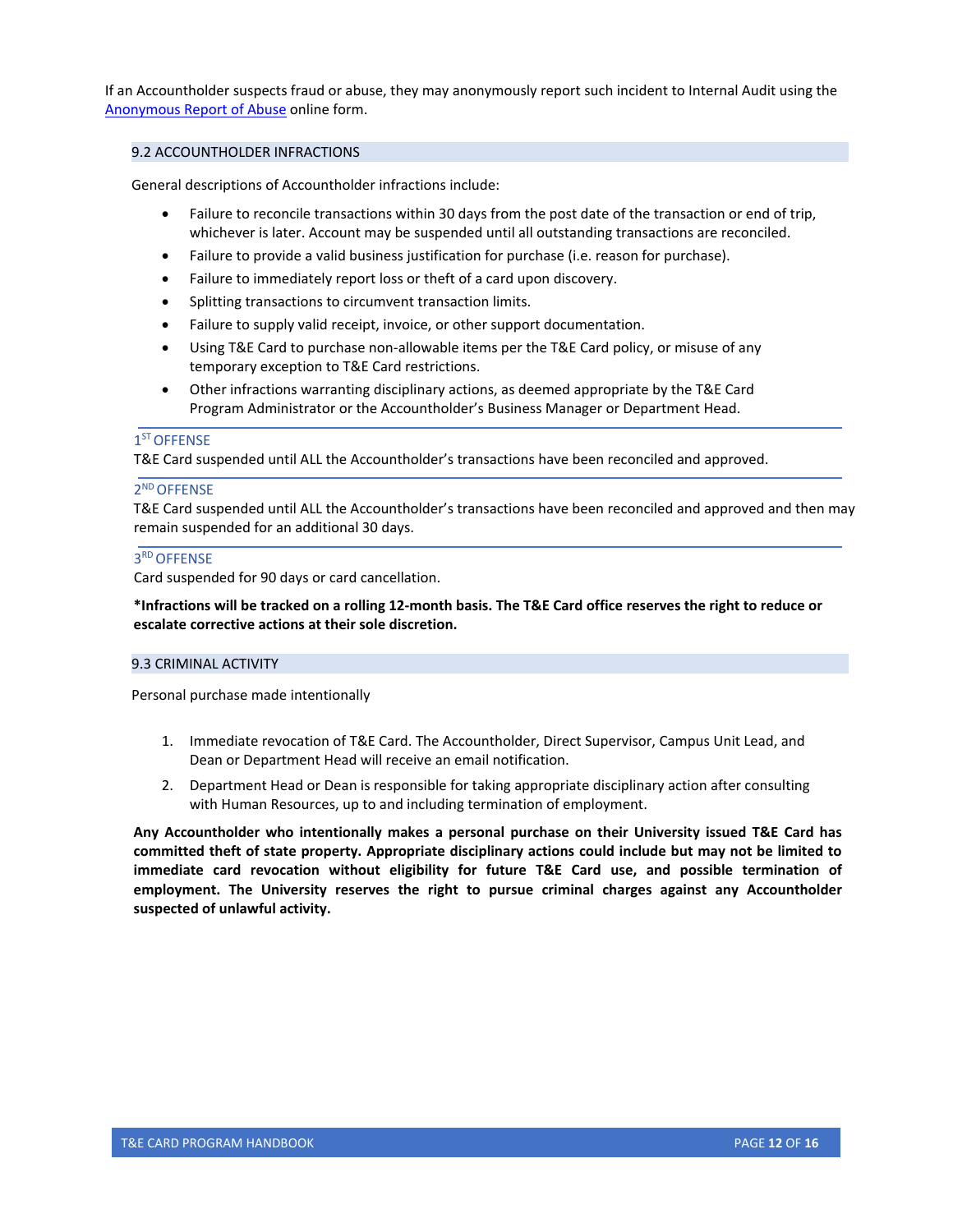If an Accountholder suspects fraud or abuse, they may anonymously report such incident to Internal Audit using the [Anonymous Report of Abuse](https://finance.unc.edu/services/card-services/anonymous-report-of-abuse/) online form.

## <span id="page-11-0"></span>9.2 ACCOUNTHOLDER INFRACTIONS

General descriptions of Accountholder infractions include:

- Failure to reconcile transactions within 30 days from the post date of the transaction or end of trip, whichever is later. Account may be suspended until all outstanding transactions are reconciled.
- Failure to provide a valid business justification for purchase (i.e. reason for purchase).
- Failure to immediately report loss or theft of a card upon discovery.
- Splitting transactions to circumvent transaction limits.
- Failure to supply valid receipt, invoice, or other support documentation.
- Using T&E Card to purchase non-allowable items per the T&E Card policy, or misuse of any temporary exception to T&E Card restrictions.
- Other infractions warranting disciplinary actions, as deemed appropriate by the T&E Card Program Administrator or the Accountholder's Business Manager or Department Head.

## <span id="page-11-1"></span>1<sup>ST</sup> OFFENSE

T&E Card suspended until ALL the Accountholder's transactions have been reconciled and approved.

## <span id="page-11-2"></span>2ND OFFENSE

T&E Card suspended until ALL the Accountholder's transactions have been reconciled and approved and then may remain suspended for an additional 30 days.

## <span id="page-11-3"></span>3RD OFFENSE

Card suspended for 90 days or card cancellation.

**\*Infractions will be tracked on a rolling 12-month basis. The T&E Card office reserves the right to reduce or escalate corrective actions at their sole discretion.**

## <span id="page-11-4"></span>9.3 CRIMINAL ACTIVITY

Personal purchase made intentionally

- 1. Immediate revocation of T&E Card. The Accountholder, Direct Supervisor, Campus Unit Lead, and Dean or Department Head will receive an email notification.
- 2. Department Head or Dean is responsible for taking appropriate disciplinary action after consulting with Human Resources, up to and including termination of employment.

**Any Accountholder who intentionally makes a personal purchase on their University issued T&E Card has committed theft of state property. Appropriate disciplinary actions could include but may not be limited to immediate card revocation without eligibility for future T&E Card use, and possible termination of employment. The University reserves the right to pursue criminal charges against any Accountholder suspected of unlawful activity.**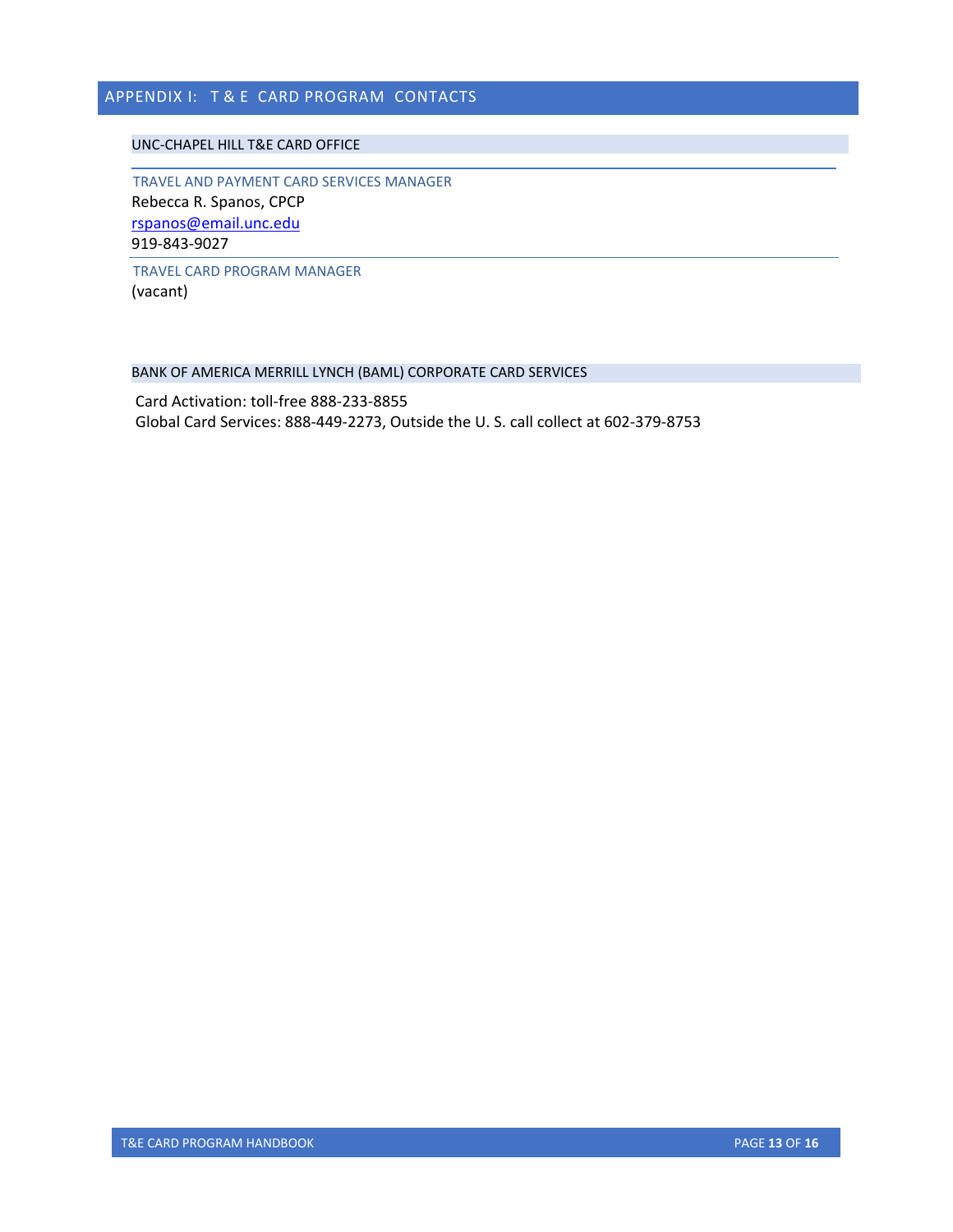# <span id="page-12-0"></span>APPENDIX I: T&E CARD PROGRAM CONTACTS

## <span id="page-12-1"></span>UNC-CHAPEL HILL T&E CARD OFFICE

<span id="page-12-2"></span>TRAVEL AND PAYMENT CARD SERVICES MANAGER Rebecca R. Spanos, CPCP [rspanos@email.unc.edu](mailto:rspanos@email.unc.edu)  919-843-9027

<span id="page-12-3"></span>TRAVEL CARD PROGRAM MANAGER (vacant)

## <span id="page-12-4"></span>BANK OF AMERICA MERRILL LYNCH (BAML) CORPORATE CARD SERVICES

Card Activation: toll-free 888-233-8855 Global Card Services: 888-449-2273, Outside the U. S. call collect at 602-379-8753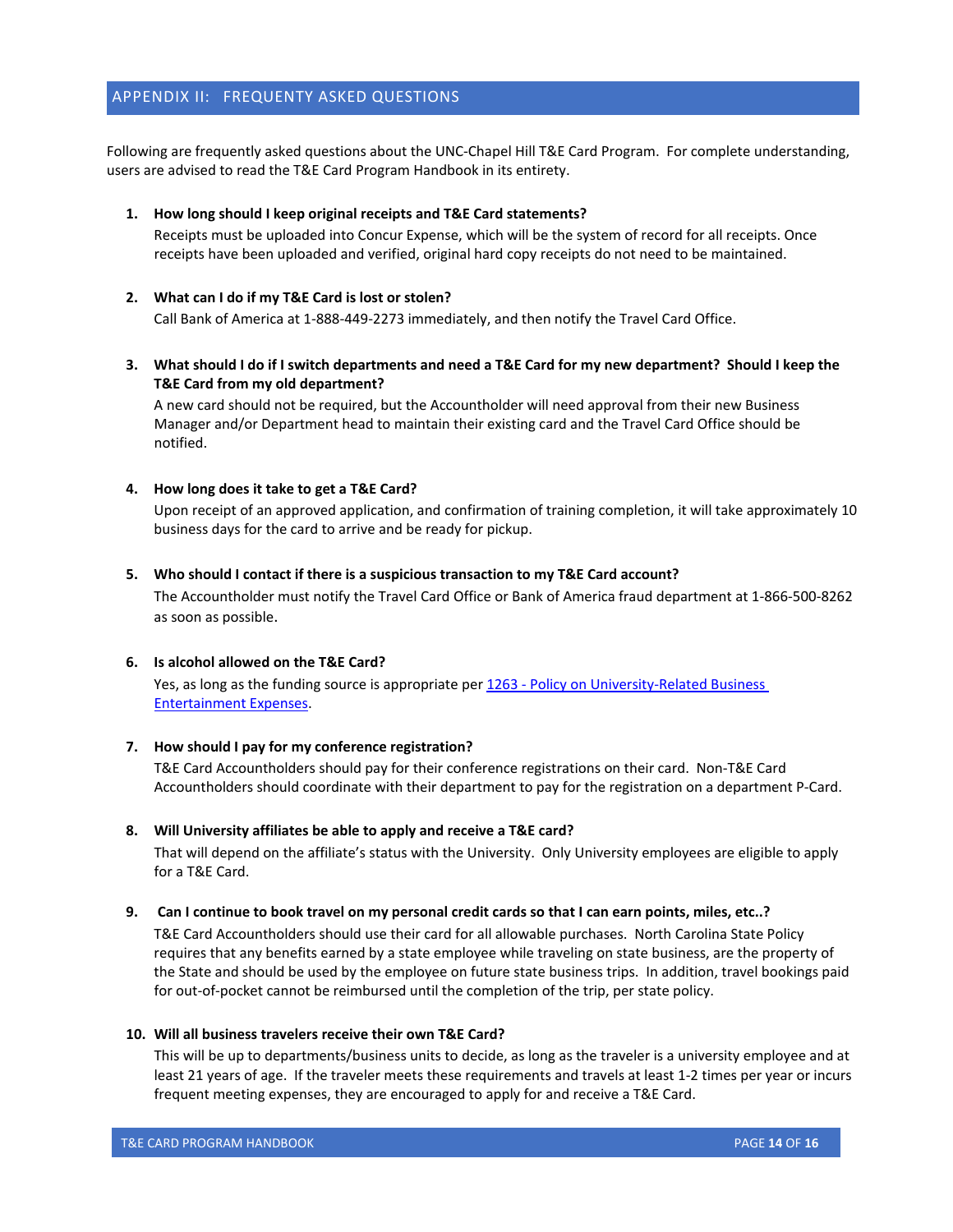## <span id="page-13-0"></span>APPENDIX II: FREQUENTY ASKED QUESTIONS

Following are frequently asked questions about the UNC-Chapel Hill T&E Card Program. For complete understanding, users are advised to read the T&E Card Program Handbook in its entirety.

## **1. How long should I keep original receipts and T&E Card statements?**

Receipts must be uploaded into Concur Expense, which will be the system of record for all receipts. Once receipts have been uploaded and verified, original hard copy receipts do not need to be maintained.

## **2. What can I do if my T&E Card is lost or stolen?**

Call Bank of America at 1-888-449-2273 immediately, and then notify the Travel Card Office.

**3. What should I do if I switch departments and need a T&E Card for my new department? Should I keep the T&E Card from my old department?**

A new card should not be required, but the Accountholder will need approval from their new Business Manager and/or Department head to maintain their existing card and the Travel Card Office should be notified.

## **4. How long does it take to get a T&E Card?**

Upon receipt of an approved application, and confirmation of training completion, it will take approximately 10 business days for the card to arrive and be ready for pickup.

## **5. Who should I contact if there is a suspicious transaction to my T&E Card account?**

The Accountholder must notify the Travel Card Office or Bank of America fraud department at 1-866-500-8262 as soon as possible.

## **6. Is alcohol allowed on the T&E Card?**

Yes, as long as the funding source is appropriate per 1263 - Policy [on University-Related Business](https://policies.unc.edu/TDClient/2833/Portal/KB/ArticleDet?ID=131446) [Entertainment Expenses.](https://policies.unc.edu/TDClient/2833/Portal/KB/ArticleDet?ID=131446)

## **7. How should I pay for my conference registration?**

T&E Card Accountholders should pay for their conference registrations on their card. Non-T&E Card Accountholders should coordinate with their department to pay for the registration on a department P-Card.

## **8. Will University affiliates be able to apply and receive a T&E card?**

That will depend on the affiliate's status with the University. Only University employees are eligible to apply for a T&E Card.

## **9. Can I continue to book travel on my personal credit cards so that I can earn points, miles, etc..?**

T&E Card Accountholders should use their card for all allowable purchases. North Carolina State Policy requires that any benefits earned by a state employee while traveling on state business, are the property of the State and should be used by the employee on future state business trips. In addition, travel bookings paid for out-of-pocket cannot be reimbursed until the completion of the trip, per state policy.

## **10. Will all business travelers receive their own T&E Card?**

This will be up to departments/business units to decide, as long as the traveler is a university employee and at least 21 years of age. If the traveler meets these requirements and travels at least 1-2 times per year or incurs frequent meeting expenses, they are encouraged to apply for and receive a T&E Card.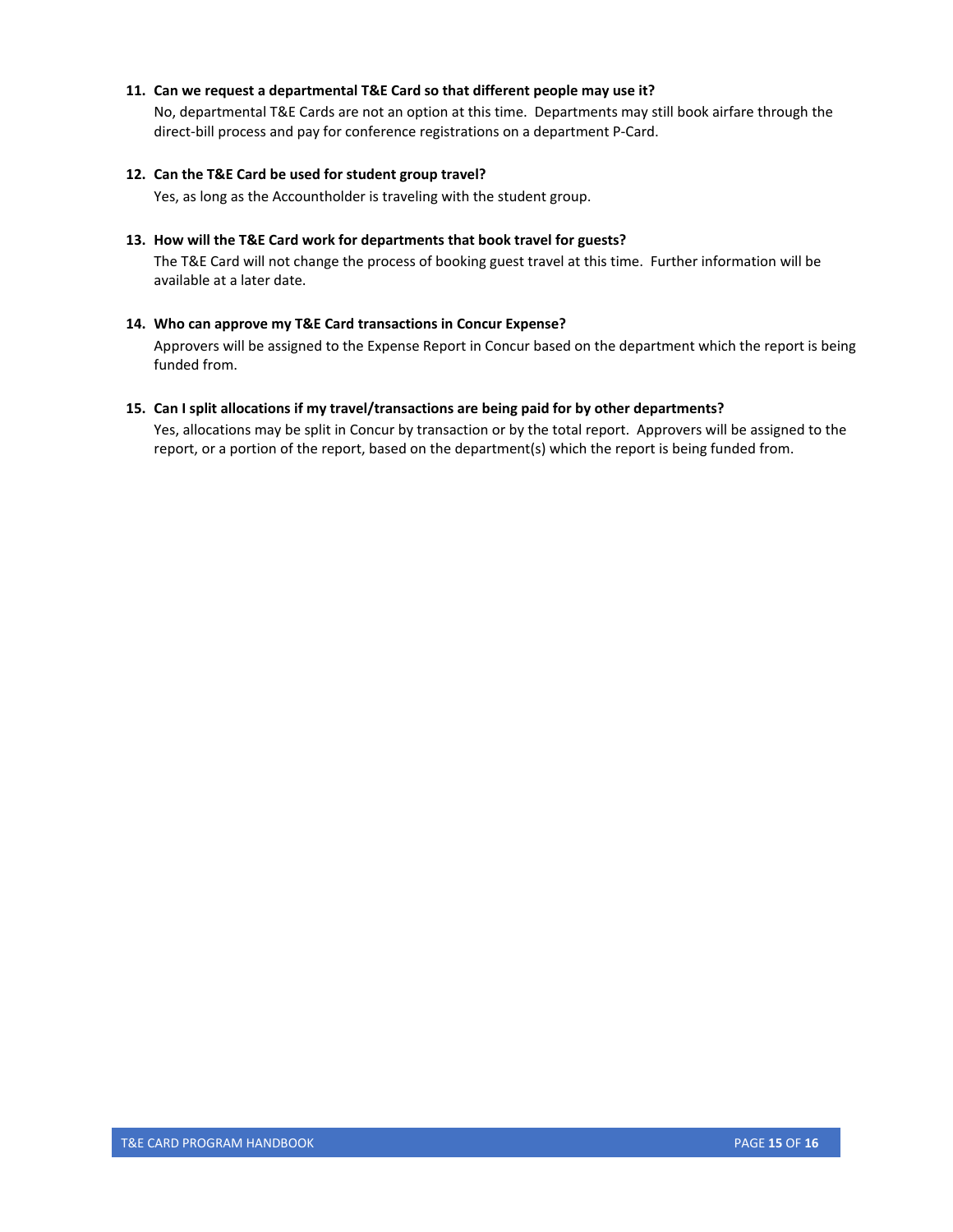## **11. Can we request a departmental T&E Card so that different people may use it?**

No, departmental T&E Cards are not an option at this time. Departments may still book airfare through the direct-bill process and pay for conference registrations on a department P-Card.

## **12. Can the T&E Card be used for student group travel?**

Yes, as long as the Accountholder is traveling with the student group.

## **13. How will the T&E Card work for departments that book travel for guests?**

The T&E Card will not change the process of booking guest travel at this time. Further information will be available at a later date.

## **14. Who can approve my T&E Card transactions in Concur Expense?**

Approvers will be assigned to the Expense Report in Concur based on the department which the report is being funded from.

## **15. Can I split allocations if my travel/transactions are being paid for by other departments?**

Yes, allocations may be split in Concur by transaction or by the total report. Approvers will be assigned to the report, or a portion of the report, based on the department(s) which the report is being funded from.